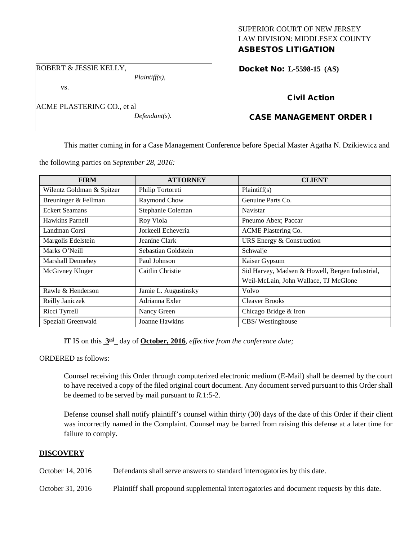## SUPERIOR COURT OF NEW JERSEY LAW DIVISION: MIDDLESEX COUNTY ASBESTOS LITIGATION

ROBERT & JESSIE KELLY,

vs.

ACME PLASTERING CO., et al *Defendant(s).*

*Plaintiff(s),*

Docket No: **L-5598-15 (AS)** 

# Civil Action

# CASE MANAGEMENT ORDER I

This matter coming in for a Case Management Conference before Special Master Agatha N. Dzikiewicz and

the following parties on *September 28, 2016:*

| <b>FIRM</b>               | <b>ATTORNEY</b>      | <b>CLIENT</b>                                   |
|---------------------------|----------------------|-------------------------------------------------|
| Wilentz Goldman & Spitzer | Philip Tortoreti     | Plaintiff(s)                                    |
| Breuninger & Fellman      | Raymond Chow         | Genuine Parts Co.                               |
| <b>Eckert Seamans</b>     | Stephanie Coleman    | Navistar                                        |
| Hawkins Parnell           | Roy Viola            | Pneumo Abex; Paccar                             |
| Landman Corsi             | Jorkeell Echeveria   | <b>ACME Plastering Co.</b>                      |
| Margolis Edelstein        | Jeanine Clark        | URS Energy & Construction                       |
| Marks O'Neill             | Sebastian Goldstein  | Schwalje                                        |
| Marshall Dennehey         | Paul Johnson         | Kaiser Gypsum                                   |
| McGivney Kluger           | Caitlin Christie     | Sid Harvey, Madsen & Howell, Bergen Industrial, |
|                           |                      | Weil-McLain, John Wallace, TJ McGlone           |
| Rawle & Henderson         | Jamie L. Augustinsky | Volvo                                           |
| Reilly Janiczek           | Adrianna Exler       | <b>Cleaver Brooks</b>                           |
| Ricci Tyrrell             | Nancy Green          | Chicago Bridge & Iron                           |
| Speziali Greenwald        | Joanne Hawkins       | CBS/Westinghouse                                |

IT IS on this **3rd** day of **October, 2016**, *effective from the conference date;*

ORDERED as follows:

Counsel receiving this Order through computerized electronic medium (E-Mail) shall be deemed by the court to have received a copy of the filed original court document. Any document served pursuant to this Order shall be deemed to be served by mail pursuant to *R*.1:5-2.

Defense counsel shall notify plaintiff's counsel within thirty (30) days of the date of this Order if their client was incorrectly named in the Complaint. Counsel may be barred from raising this defense at a later time for failure to comply.

# **DISCOVERY**

October 14, 2016 Defendants shall serve answers to standard interrogatories by this date.

October 31, 2016 Plaintiff shall propound supplemental interrogatories and document requests by this date.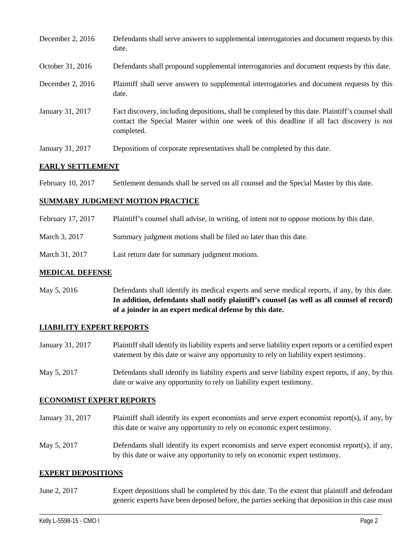| December 2, 2016 | Defendants shall serve answers to supplemental interrogatories and document requests by this<br>date.                                                                                                       |
|------------------|-------------------------------------------------------------------------------------------------------------------------------------------------------------------------------------------------------------|
| October 31, 2016 | Defendants shall propound supplemental interrogatories and document requests by this date.                                                                                                                  |
| December 2, 2016 | Plaintiff shall serve answers to supplemental interrogatories and document requests by this<br>date.                                                                                                        |
| January 31, 2017 | Fact discovery, including depositions, shall be completed by this date. Plaintiff's counsel shall<br>contact the Special Master within one week of this deadline if all fact discovery is not<br>completed. |
| January 31, 2017 | Depositions of corporate representatives shall be completed by this date.                                                                                                                                   |

## **EARLY SETTLEMENT**

February 10, 2017 Settlement demands shall be served on all counsel and the Special Master by this date.

### **SUMMARY JUDGMENT MOTION PRACTICE**

- February 17, 2017 Plaintiff's counsel shall advise, in writing, of intent not to oppose motions by this date.
- March 3, 2017 Summary judgment motions shall be filed no later than this date.
- March 31, 2017 Last return date for summary judgment motions.

### **MEDICAL DEFENSE**

May 5, 2016 Defendants shall identify its medical experts and serve medical reports, if any, by this date. **In addition, defendants shall notify plaintiff's counsel (as well as all counsel of record) of a joinder in an expert medical defense by this date.**

### **LIABILITY EXPERT REPORTS**

- January 31, 2017 Plaintiff shall identify its liability experts and serve liability expert reports or a certified expert statement by this date or waive any opportunity to rely on liability expert testimony.
- May 5, 2017 Defendants shall identify its liability experts and serve liability expert reports, if any, by this date or waive any opportunity to rely on liability expert testimony.

### **ECONOMIST EXPERT REPORTS**

- January 31, 2017 Plaintiff shall identify its expert economists and serve expert economist report(s), if any, by this date or waive any opportunity to rely on economic expert testimony.
- May 5, 2017 Defendants shall identify its expert economists and serve expert economist report(s), if any, by this date or waive any opportunity to rely on economic expert testimony.

### **EXPERT DEPOSITIONS**

June 2, 2017 Expert depositions shall be completed by this date. To the extent that plaintiff and defendant generic experts have been deposed before, the parties seeking that deposition in this case must

\_\_\_\_\_\_\_\_\_\_\_\_\_\_\_\_\_\_\_\_\_\_\_\_\_\_\_\_\_\_\_\_\_\_\_\_\_\_\_\_\_\_\_\_\_\_\_\_\_\_\_\_\_\_\_\_\_\_\_\_\_\_\_\_\_\_\_\_\_\_\_\_\_\_\_\_\_\_\_\_\_\_\_\_\_\_\_\_\_\_\_\_\_\_\_\_\_\_\_\_\_\_\_\_\_\_\_\_\_\_